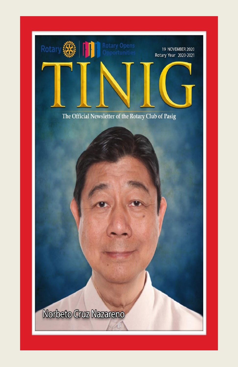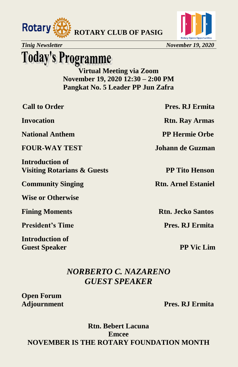



# **Today's Programme**

**Virtual Meeting via Zoom November 19, 2020 12:30 – 2:00 PM Pangkat No. 5 Leader PP Jun Zafra**

**National Anthem PP Hermie Orbe** 

**Introduction of Visiting Rotarians & Guests PP Tito Henson**

**Community Singing Rtn. Arnel Estaniel** 

**Wise or Otherwise**

**President's Time Pres. RJ Ermita** 

**Introduction of Guest Speaker PP Vic Lim** 

**Call to Order Pres. RJ Ermita** 

**Invocation Rtn. Ray Armas** 

**FOUR-WAY TEST Johann de Guzman** 

**Fining Moments Rtn. Jecko Santos** 

### *NORBERTO C. NAZARENO GUEST SPEAKER*

**Open Forum**

**Adjournment Pres. RJ Ermita**

**Rtn. Bebert Lacuna Emcee NOVEMBER IS THE ROTARY FOUNDATION MONTH**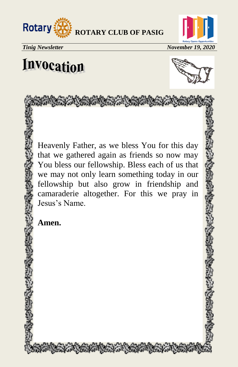



# **Invocation**



Heavenly Father, as we bless You for this day that we gathered again as friends so now may You bless our fellowship. Bless each of us that we may not only learn something today in our fellowship but also grow in friendship and camaraderie altogether. For this we pray in Jesus's Name.

and the state that we have the former of the

**Amen.**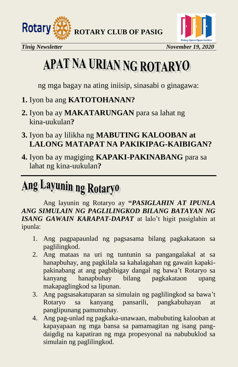



# APAT NA URIAN NG ROTARYO

ng mga bagay na ating iniisip, sinasabi o ginagawa:

- **1.** Iyon ba ang **KATOTOHANAN?**
- **2.** Iyon ba ay **MAKATARUNGAN** para sa lahat ng kina-uukulan**?**
- **3.** Iyon ba ay lilikha ng **MABUTING KALOOBAN at LALONG MATAPAT NA PAKIKIPAG-KAIBIGAN?**
- **4.** Iyon ba ay magiging **KAPAKI-PAKINABANG** para sa lahat ng kina-uukulan**?**

# Ang Layunin ng Rotaryo

Ang layunin ng Rotaryo ay **"***PASIGLAHIN AT IPUNLA ANG SIMULAIN NG PAGLILINGKOD BILANG BATAYAN NG ISANG GAWAIN KARAPAT-DAPAT* at lalo't higit pasiglahin at ipunla:

- 1. Ang pagpapaunlad ng pagsasama bilang pagkakataon sa paglilingkod.
- 2. Ang mataas na uri ng tuntunin sa pangangalakal at sa hanapbuhay, ang pagkilala sa kahalagahan ng gawain kapakipakinabang at ang pagbibigay dangal ng bawa't Rotaryo sa kanyang hanapbuhay bilang pagkakataon upang makapaglingkod sa lipunan.
- 3. Ang pagsasakatuparan sa simulain ng paglilingkod sa bawa't Rotaryo sa kanyang pansarili, pangkabuhayan at panglipunang pamumuhay.
- 4. Ang pag-unlad ng pagkaka-unawaan, mabubuting kalooban at kapayapaan ng mga bansa sa pamamagitan ng isang pangdaigdig na kapatiran ng mga propesyonal na nabubuklod sa simulain ng paglilingkod.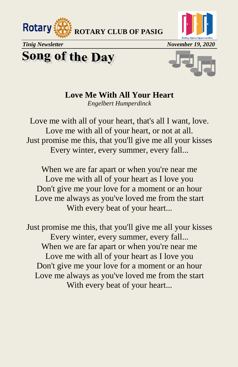



**Song of the Day** 



### **Love Me With All Your Heart**

*[Engelbert Humperdinck](https://www.google.com/search?q=Engelbert+Humperdinck&stick=H4sIAAAAAAAAAONgVuLSz9U3MCxPMywyXsQq6pqXnpqTlFpUouBRmluQWpSSmZecDQDiMdRKJgAAAA&sa=X&ved=2ahUKEwj62cm4jvrsAhXCPXAKHVIPA5UQMTAAegQIAhAD)*

Love me with all of your heart, that's all I want, love. Love me with all of your heart, or not at all. Just promise me this, that you'll give me all your kisses Every winter, every summer, every fall...

When we are far apart or when you're near me Love me with all of your heart as I love you Don't give me your love for a moment or an hour Love me always as you've loved me from the start With every beat of your heart...

Just promise me this, that you'll give me all your kisses Every winter, every summer, every fall... When we are far apart or when you're near me Love me with all of your heart as I love you Don't give me your love for a moment or an hour Love me always as you've loved me from the start With every beat of your heart...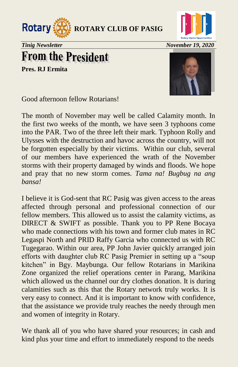



## **From the President**

**Pres. RJ Ermita** 



Good afternoon fellow Rotarians!

The month of November may well be called Calamity month. In the first two weeks of the month, we have seen 3 typhoons come into the PAR. Two of the three left their mark. Typhoon Rolly and Ulysses with the destruction and havoc across the country, will not be forgotten especially by their victims. Within our club, several of our members have experienced the wrath of the November storms with their property damaged by winds and floods. We hope and pray that no new storm comes. *Tama na! Bugbug na ang bansa!*

I believe it is God-sent that RC Pasig was given access to the areas affected through personal and professional connection of our fellow members. This allowed us to assist the calamity victims, as DIRECT & SWIFT as possible. Thank you to PP Rene Bocaya who made connections with his town and former club mates in RC Legaspi North and PRID Raffy Garcia who connected us with RC Tugegarao. Within our area, PP John Javier quickly arranged join efforts with daughter club RC Pasig Premier in setting up a "soup" kitchen" in Bgy. Maybunga. Our fellow Rotarians in Marikina Zone organized the relief operations center in Parang, Marikina which allowed us the channel our dry clothes donation. It is during calamities such as this that the Rotary network truly works. It is very easy to connect. And it is important to know with confidence, that the assistance we provide truly reaches the needy through men and women of integrity in Rotary.

We thank all of you who have shared your resources; in cash and kind plus your time and effort to immediately respond to the needs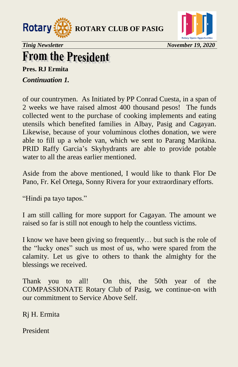



### **From the President**

**Pres. RJ Ermita**  *Continuation 1.* 

of our countrymen. As Initiated by PP Conrad Cuesta, in a span of 2 weeks we have raised almost 400 thousand pesos! The funds collected went to the purchase of cooking implements and eating utensils which benefited families in Albay, Pasig and Cagayan. Likewise, because of your voluminous clothes donation, we were able to fill up a whole van, which we sent to Parang Marikina. PRID Raffy Garcia's Skyhydrants are able to provide potable water to all the areas earlier mentioned.

Aside from the above mentioned, I would like to thank Flor De Pano, Fr. Kel Ortega, Sonny Rivera for your extraordinary efforts.

"Hindi pa tayo tapos."

I am still calling for more support for Cagayan. The amount we raised so far is still not enough to help the countless victims.

I know we have been giving so frequently… but such is the role of the "lucky ones" such us most of us, who were spared from the calamity. Let us give to others to thank the almighty for the blessings we received.

Thank you to all! On this, the 50th year of the COMPASSIONATE Rotary Club of Pasig, we continue-on with our commitment to Service Above Self.

Rj H. Ermita

President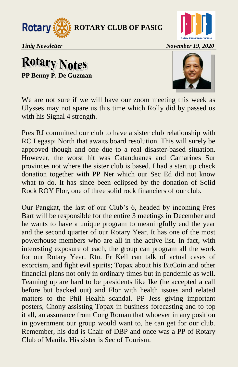



### **Rotary Notes PP Benny P. De Guzman**



We are not sure if we will have our zoom meeting this week as Ulysses may not spare us this time which Rolly did by passed us with his Signal 4 strength.

Pres RJ committed our club to have a sister club relationship with RC Legaspi North that awaits board resolution. This will surely be approved though and one due to a real disaster-based situation. However, the worst hit was Catanduanes and Camarines Sur provinces not where the sister club is based. I had a start up check donation together with PP Ner which our Sec Ed did not know what to do. It has since been eclipsed by the donation of Solid Rock ROY Flor, one of three solid rock financiers of our club.

Our Pangkat, the last of our Club's 6, headed by incoming Pres Bart will be responsible for the entire 3 meetings in December and he wants to have a unique program to meaningfully end the year and the second quarter of our Rotary Year. It has one of the most powerhouse members who are all in the active list. In fact, with interesting exposure of each, the group can program all the work for our Rotary Year. Rtn. Fr Kell can talk of actual cases of exorcism, and fight evil spirits; Topax about his BitCoin and other financial plans not only in ordinary times but in pandemic as well. Teaming up are hard to be presidents like Ike (he accepted a call before but backed out) and Flor with health issues and related matters to the Phil Health scandal. PP Jess giving important posters, Chony assisting Topax in business forecasting and to top it all, an assurance from Cong Roman that whoever in any position in government our group would want to, he can get for our club. Remember, his dad is Chair of DBP and once was a PP of Rotary Club of Manila. His sister is Sec of Tourism.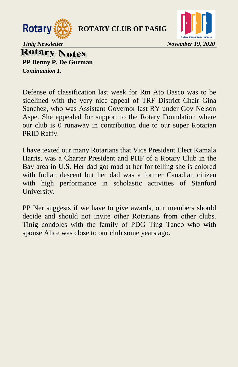



**Rotary Notes PP Benny P. De Guzman** 

*Continuation 1.* 

Defense of classification last week for Rtn Ato Basco was to be sidelined with the very nice appeal of TRF District Chair Gina Sanchez, who was Assistant Governor last RY under Gov Nelson Aspe. She appealed for support to the Rotary Foundation where our club is 0 runaway in contribution due to our super Rotarian PRID Raffy.

I have texted our many Rotarians that Vice President Elect Kamala Harris, was a Charter President and PHF of a Rotary Club in the Bay area in U.S. Her dad got mad at her for telling she is colored with Indian descent but her dad was a former Canadian citizen with high performance in scholastic activities of Stanford University.

PP Ner suggests if we have to give awards, our members should decide and should not invite other Rotarians from other clubs. Tinig condoles with the family of PDG Ting Tanco who with spouse Alice was close to our club some years ago.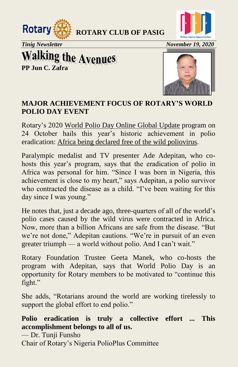



*Tinig Newsletter* November 19, 2020

**Walking the Avenues**<br>PP Jun C. Zafra



### **MAJOR ACHIEVEMENT FOCUS OF ROTARY'S WORLD POLIO DAY EVENT**

Rotary's 2020 [World Polio Day Online Global Update](https://www.youtube.com/watch?v=Rp5Cg1I4OeE&feature=youtu.be) program on 24 October hails this year's historic achievement in polio eradication: [Africa being declared free of the wild poliovirus.](https://www.rotary.org/en/african-region-declared-free-of-wild-poliovirus)

Paralympic medalist and TV presenter Ade Adepitan, who cohosts this year's program, says that the eradication of polio in Africa was personal for him. "Since I was born in Nigeria, this achievement is close to my heart," says Adepitan, a polio survivor who contracted the disease as a child. "I've been waiting for this day since I was young."

He notes that, just a decade ago, three-quarters of all of the world's polio cases caused by the wild virus were contracted in Africa. Now, more than a billion Africans are safe from the disease. "But we're not done," Adepitan cautions. "We're in pursuit of an even greater triumph — a world without polio. And I can't wait."

Rotary Foundation Trustee Geeta Manek, who co-hosts the program with Adepitan, says that World Polio Day is an opportunity for Rotary members to be motivated to "continue this fight."

She adds, "Rotarians around the world are working tirelessly to support the global effort to end polio."

**Polio eradication is truly a collective effort ... This accomplishment belongs to all of us.** 

— Dr. Tunji Funsho

Chair of Rotary's Nigeria PolioPlus Committee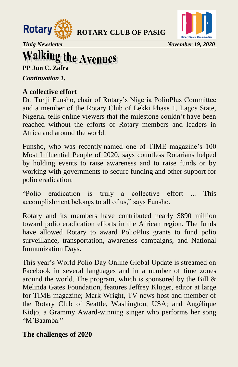



*Tinig Newsletter* November 19, 2020

# **Walking the Avenues**

**PP Jun C. Zafra** 

*Continuation 1.* 

#### **A collective effort**

Dr. Tunji Funsho, chair of Rotary's Nigeria PolioPlus Committee and a member of the Rotary Club of Lekki Phase 1, Lagos State, Nigeria, tells online viewers that the milestone couldn't have been reached without the efforts of Rotary members and leaders in Africa and around the world.

Funsho, who was recently [named one of TIME magazine's 100](https://time.com/collection/100-most-influential-people-2020/)  [Most Influential People of 2020,](https://time.com/collection/100-most-influential-people-2020/) says countless Rotarians helped by holding events to raise awareness and to raise funds or by working with governments to secure funding and other support for polio eradication.

―Polio eradication is truly a collective effort ... This accomplishment belongs to all of us," says Funsho.

Rotary and its members have contributed nearly \$890 million toward polio eradication efforts in the African region. The funds have allowed Rotary to award PolioPlus grants to fund polio surveillance, transportation, awareness campaigns, and National Immunization Days.

This year's World Polio Day Online Global Update is streamed on Facebook in several languages and in a number of time zones around the world. The program, which is sponsored by the Bill  $\&$ Melinda Gates Foundation, features Jeffrey Kluger, editor at large for TIME magazine; Mark Wright, TV news host and member of the Rotary Club of Seattle, Washington, USA; and Angélique Kidjo, a Grammy Award-winning singer who performs her song "M'Baamba"

#### **The challenges of 2020**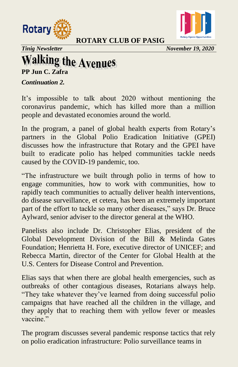



*Tinig Newsletter* November 19, 2020

## **Walking the Avenues**

**PP Jun C. Zafra** 

*Continuation 2.* 

It's impossible to talk about 2020 without mentioning the coronavirus pandemic, which has killed more than a million people and devastated economies around the world.

In the program, a panel of global health experts from Rotary's partners in the Global Polio Eradication Initiative (GPEI) discusses how the infrastructure that Rotary and the GPEI have built to eradicate polio has helped communities tackle needs caused by the COVID-19 pandemic, too.

―The infrastructure we built through polio in terms of how to engage communities, how to work with communities, how to rapidly teach communities to actually deliver health interventions, do disease surveillance, et cetera, has been an extremely important part of the effort to tackle so many other diseases," says Dr. Bruce Aylward, senior adviser to the director general at the WHO.

Panelists also include Dr. Christopher Elias, president of the Global Development Division of the Bill & Melinda Gates Foundation; Henrietta H. Fore, executive director of UNICEF; and Rebecca Martin, director of the Center for Global Health at the U.S. Centers for Disease Control and Prevention.

Elias says that when there are global health emergencies, such as outbreaks of other contagious diseases, Rotarians always help. "They take whatever they've learned from doing successful polio campaigns that have reached all the children in the village, and they apply that to reaching them with yellow fever or measles vaccine."

The program discusses several pandemic response tactics that rely on polio eradication infrastructure: Polio surveillance teams in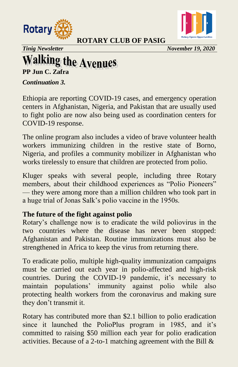



*Tinig Newsletter November 19, 2020*

## **Walking the Avenues**

**PP Jun C. Zafra**

*Continuation 3.* 

Ethiopia are reporting COVID-19 cases, and emergency operation centers in Afghanistan, Nigeria, and Pakistan that are usually used to fight polio are now also being used as coordination centers for COVID-19 response.

The online program also includes a video of brave volunteer health workers immunizing children in the restive state of Borno, Nigeria, and profiles a community mobilizer in Afghanistan who works tirelessly to ensure that children are protected from polio.

Kluger speaks with several people, including three Rotary members, about their childhood experiences as "Polio Pioneers" — they were among more than a million children who took part in a huge trial of Jonas Salk's polio vaccine in the 1950s.

#### **The future of the fight against polio**

Rotary's challenge now is to eradicate the wild poliovirus in the two countries where the disease has never been stopped: Afghanistan and Pakistan. Routine immunizations must also be strengthened in Africa to keep the virus from returning there.

To eradicate polio, multiple high-quality immunization campaigns must be carried out each year in polio-affected and high-risk countries. During the COVID-19 pandemic, it's necessary to maintain populations' immunity against polio while also protecting health workers from the coronavirus and making sure they don't transmit it.

Rotary has contributed more than \$2.1 billion to polio eradication since it launched the PolioPlus program in 1985, and it's committed to raising \$50 million each year for polio eradication activities. Because of a 2-to-1 matching agreement with the Bill &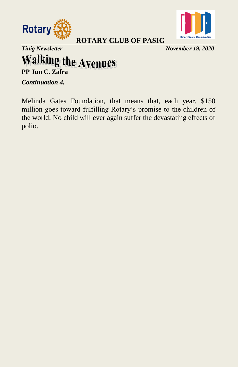



*Tinig Newsletter* November 19, 2020

# **Walking the Avenues**<br>PP Jun C. Zafra

*Continuation 4.* 

Melinda Gates Foundation, that means that, each year, \$150 million goes toward fulfilling Rotary's promise to the children of the world: No child will ever again suffer the devastating effects of polio.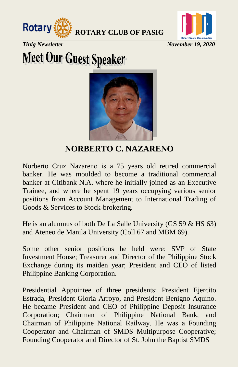



*Tinig Newsletter* November 19, 2020

# **Meet Our Guest Speaker**



**NORBERTO C. NAZARENO** 

Norberto Cruz Nazareno is a 75 years old retired commercial banker. He was moulded to become a traditional commercial banker at Citibank N.A. where he initially joined as an Executive Trainee, and where he spent 19 years occupying various senior positions from Account Management to International Trading of Goods & Services to Stock-brokering.

He is an alumnus of both De La Salle University (GS 59 & HS 63) and Ateneo de Manila University (Coll 67 and MBM 69).

Some other senior positions he held were: SVP of State Investment House; Treasurer and Director of the Philippine Stock Exchange during its maiden year; President and CEO of listed Philippine Banking Corporation.

Presidential Appointee of three presidents: President Ejercito Estrada, President Gloria Arroyo, and President Benigno Aquino. He became President and CEO of Philippine Deposit Insurance Corporation; Chairman of Philippine National Bank, and Chairman of Philippine National Railway. He was a Founding Cooperator and Chairman of SMDS Multipurpose Cooperative; Founding Cooperator and Director of St. John the Baptist SMDS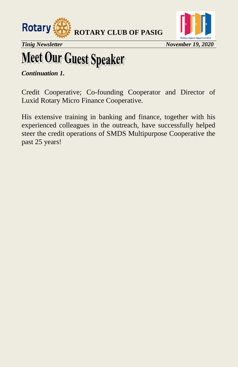



*Tinig Newsletter* November 19, 2020

# **Meet Our Guest Speaker**

*Continuation 1.* 

Credit Cooperative; Co-founding Cooperator and Director of Luxid Rotary Micro Finance Cooperative.

His extensive training in banking and finance, together with his experienced colleagues in the outreach, have successfully helped steer the credit operations of SMDS Multipurpose Cooperative the past 25 years!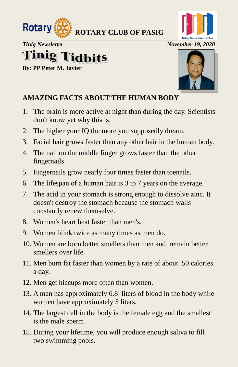

# **Tinig Tidbits**

**By: PP Peter M. Javier**



### **AMAZING FACTS ABOUT THE HUMAN BODY**

- 1. The brain is more active at night than during the day. Scientists don't know yet why this is.
- 2. The higher your IQ the more you supposedly dream.
- 3. Facial hair grows faster than any other hair in the human body.
- 4. The nail on the middle finger grows faster than the other fingernails.
- 5. Fingernails grow nearly four times faster than toenails.
- 6. The lifespan of a human hair is 3 to 7 years on the average.
- 7. The acid in your stomach is strong enough to dissolve zinc. It doesn't destroy the stomach because the stomach walls constantly renew themselve.
- 8. Women's heart beat faster than men's.
- 9. Women blink twice as many times as men do.
- 10. Women are born better smellers than men and remain better smellers over life.
- 11. Men burn fat faster than women by a rate of about 50 calories a day.
- 12. Men get hiccups more often than women.
- 13. A man has approximately 6.8 liters of blood in the body while women have approximately 5 liters.
- 14. The largest cell in the body is the female egg and the smallest is the male sperm
- 15. During your lifetime, you will produce enough saliva to fill two swimming pools.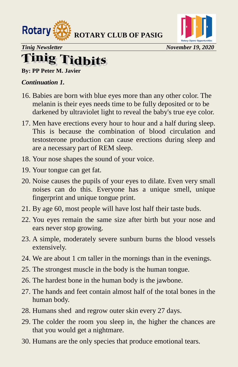



## **Tinig Tidbits**

**By: PP Peter M. Javier** 

#### *Continuation 1.*

- 16. Babies are born with blue eyes more than any other color. The melanin is their eyes needs time to be fully deposited or to be darkened by ultraviolet light to reveal the baby's true eye color.
- 17. Men have erections every hour to hour and a half during sleep. This is because the combination of blood circulation and testosterone production can cause erections during sleep and are a necessary part of REM sleep.
- 18. Your nose shapes the sound of your voice.
- 19. Your tongue can get fat.
- 20. Noise causes the pupils of your eyes to dilate. Even very small noises can do this. Everyone has a unique smell, unique fingerprint and unique tongue print.
- 21. By age 60, most people will have lost half their taste buds.
- 22. You eyes remain the same size after birth but your nose and ears never stop growing.
- 23. A simple, moderately severe sunburn burns the blood vessels extensively.
- 24. We are about 1 cm taller in the mornings than in the evenings.
- 25. The strongest muscle in the body is the human tongue.
- 26. The hardest bone in the human body is the jawbone.
- 27. The hands and feet contain almost half of the total bones in the human body.
- 28. Humans shed and regrow outer skin every 27 days.
- 29. The colder the room you sleep in, the higher the chances are that you would get a nightmare.
- 30. Humans are the only species that produce emotional tears.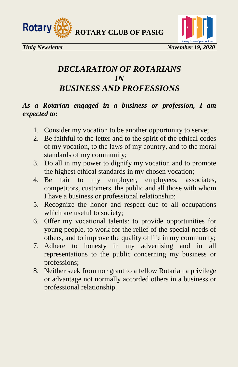



### *DECLARATION OF ROTARIANS IN BUSINESS AND PROFESSIONS*

#### *As a Rotarian engaged in a business or profession, I am expected to:*

- 1. Consider my vocation to be another opportunity to serve;
- 2. Be faithful to the letter and to the spirit of the ethical codes of my vocation, to the laws of my country, and to the moral standards of my community;
- 3. Do all in my power to dignify my vocation and to promote the highest ethical standards in my chosen vocation;
- 4. Be fair to my employer, employees, associates, competitors, customers, the public and all those with whom I have a business or professional relationship;
- 5. Recognize the honor and respect due to all occupations which are useful to society;
- 6. Offer my vocational talents: to provide opportunities for young people, to work for the relief of the special needs of others, and to improve the quality of life in my community;
- 7. Adhere to honesty in my advertising and in all representations to the public concerning my business or professions;
- 8. Neither seek from nor grant to a fellow Rotarian a privilege or advantage not normally accorded others in a business or professional relationship.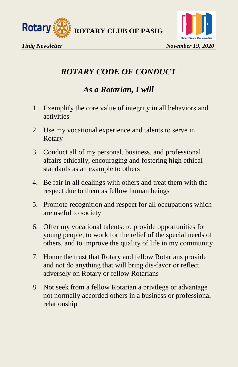



### *ROTARY CODE OF CONDUCT*

### *As a Rotarian, I will*

- 1. Exemplify the core value of integrity in all behaviors and activities
- 2. Use my vocational experience and talents to serve in Rotary
- 3. Conduct all of my personal, business, and professional affairs ethically, encouraging and fostering high ethical standards as an example to others
- 4. Be fair in all dealings with others and treat them with the respect due to them as fellow human beings
- 5. Promote recognition and respect for all occupations which are useful to society
- 6. Offer my vocational talents: to provide opportunities for young people, to work for the relief of the special needs of others, and to improve the quality of life in my community
- 7. Honor the trust that Rotary and fellow Rotarians provide and not do anything that will bring dis-favor or reflect adversely on Rotary or fellow Rotarians
- 8. Not seek from a fellow Rotarian a privilege or advantage not normally accorded others in a business or professional relationship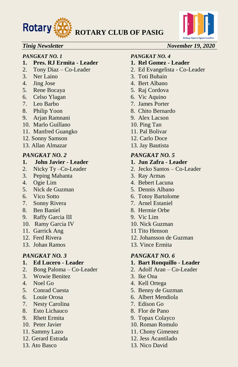



#### *PANGKAT NO. 1 PANGKAT NO. 4*

- **1. Pres. RJ Ermita Leader 1. Rel Gomez Leader**
- 
- 
- 
- 5. Rene Bocaya 5. Raj Cordova
- 6. Celso Ylagan 6. Vic Aquino
- 
- 
- 9. Arjan Ramnani 9. Alex Lacson
- 10. Marlo Guillano 10. Ping Tan
- 11. Manfred Guangko 11. Pal Bolivar
- 12. Sonny Samson 12. Carlo Doce
- 13. Allan Almazar 13. Jay Bautista

- **1. John Javier Leader 1. Jun Zafra Leader**
- 
- 3. Peping Mabanta 3. Ray Armas
- 
- 5. Nick de Guzman 5. Dennis Albano
- 
- 7. Sonny Rivera 7. Arnel Estaniel
- 8. Ben Baniel 8. Hermie Orbe
- 9. Raffy Garcia III 9. Vic Lim
- 10. Ramy Garcia IV 10. Nick Guzman
- 11. Garrick Ang 11 Tito Henson
- 
- 13. Johan Ramos 13. Vince Ermita

- 
- 2. Bong Paloma Co-Leader 2. Adolf Aran Co-Leader
- 3. Wowie Benitez 3. Ike Ona
- 
- 
- 
- 7. Nesty Carolina 7. Edison Go
- 8. Esto Lichauco 8. Flor de Pano
- 
- 
- 
- 
- 

#### *Tinig Newsletter* November 19, 2020

- 2. Tony Diaz Co-Leader 2. Ed Evangelista Co-Leader
- 3. Ner Laino 3. Toti Buhain
- 4. Jing Jose 4. Bert Albano
	-
	-
- 7. Leo Barbo 7. James Porter
- 8. Philip Yoon 8. Chito Bernardo
	-
	-
	-
	-
	-

#### *PANGKAT NO. 2 PANGKAT NO. 5*

- 
- 2. Nicky Ty –Co-Leader 2. Jecko Santos Co-Leader
	-
- 4. Ogie Lim 4. Bebert Lacuna
	-
- 6. Vico Sotto 6. Totoy Bartolome
	-
	-
	-
	-
	-
- 12. Ferd Rivera 12. Johansson de Guzman
	-

#### *PANGKAT NO. 3 PANGKAT NO. 6*

- **1. Ed Lucero Leader 1. Bart Ronquillo Leader**
	-
	-
- 4. Noel Go 4. Kell Ortega
- 5. Conrad Cuesta 5. Benny de Guzman
- 6. Louie Orosa 6. Albert Mendiola
	-
	-
- 9. Rhett Ermita 9. Topax Colayco
- 10. Peter Javier 10. Roman Romulo
- 11. Sammy Lazo 11. Chony Gimenez
- 12. Gerard Estrada 12. Jess Acantilado
- 13. Ato Basco 13. Nico David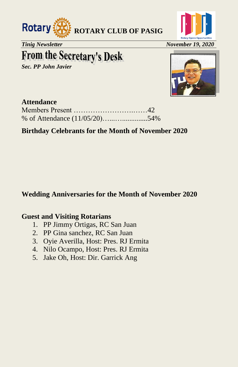



*Tinig Newsletter* November 19, 2020

## **From the Secretary's Desk**

*Sec. PP John Javier* 



#### **Attendance**

#### **Birthday Celebrants for the Month of November 2020**

#### **Wedding Anniversaries for the Month of November 2020**

#### **Guest and Visiting Rotarians**

- 1. PP Jimmy Ortigas, RC San Juan
- 2. PP Gina sanchez, RC San Juan
- 3. Oyie Averilla, Host: Pres. RJ Ermita
- 4. Nilo Ocampo, Host: Pres. RJ Ermita
- 5. Jake Oh, Host: Dir. Garrick Ang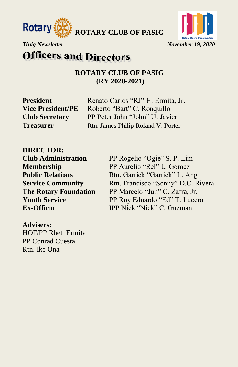





#### *Tinig Newsletter* November 19, 2020

### **Officers and Directors**

**ROTARY CLUB OF PASIG (RY 2020-2021)**

**President** Renato Carlos "RJ" H. Ermita, Jr. **Vice President/PE** Roberto "Bart" C. Ronquillo **Club Secretary** PP Peter John "John" U. Javier **Treasurer** Rtn. James Philip Roland V. Porter

**DIRECTOR:**

**Club Administration** PP Rogelio "Ogie" S. P. Lim **Membership** PP Aurelio "Rel" L. Gomez **Public Relations** Rtn. Garrick "Garrick" L. Ang **Service Community** Rtn. Francisco "Sonny" D.C. Rivera **The Rotary Foundation** PP Marcelo "Jun" C. Zafra, Jr.<br> **Youth Service** PP Rov Eduardo "Ed" T. Luce **PP Roy Eduardo "Ed" T. Lucero Ex-Officio IPP Nick "Nick" C. Guzman** 

**Advisers:** HOF/PP Rhett Ermita PP Conrad Cuesta Rtn. Ike Ona